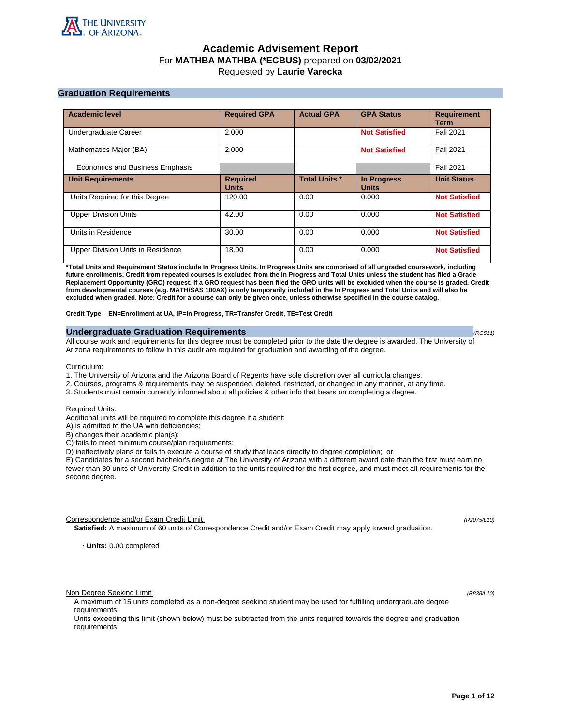

# **Academic Advisement Report** For **MATHBA MATHBA (\*ECBUS)** prepared on **03/02/2021** Requested by **Laurie Varecka**

# **Graduation Requirements**

| <b>Academic level</b>             | <b>Required GPA</b>             | <b>Actual GPA</b>    | <b>GPA Status</b>                  | <b>Requirement</b><br><b>Term</b> |
|-----------------------------------|---------------------------------|----------------------|------------------------------------|-----------------------------------|
| Undergraduate Career              | 2.000                           |                      | <b>Not Satisfied</b>               | <b>Fall 2021</b>                  |
| Mathematics Major (BA)            | 2.000                           |                      | <b>Not Satisfied</b>               | <b>Fall 2021</b>                  |
| Economics and Business Emphasis   |                                 |                      |                                    | <b>Fall 2021</b>                  |
| <b>Unit Requirements</b>          | <b>Required</b><br><b>Units</b> | <b>Total Units *</b> | <b>In Progress</b><br><b>Units</b> | <b>Unit Status</b>                |
| Units Required for this Degree    | 120.00                          | 0.00                 | 0.000                              | <b>Not Satisfied</b>              |
| <b>Upper Division Units</b>       | 42.00                           | 0.00                 | 0.000                              | <b>Not Satisfied</b>              |
| Units in Residence                | 30.00                           | 0.00                 | 0.000                              | <b>Not Satisfied</b>              |
| Upper Division Units in Residence | 18.00                           | 0.00                 | 0.000                              | <b>Not Satisfied</b>              |

**\*Total Units and Requirement Status include In Progress Units. In Progress Units are comprised of all ungraded coursework, including future enrollments. Credit from repeated courses is excluded from the In Progress and Total Units unless the student has filed a Grade Replacement Opportunity (GRO) request. If a GRO request has been filed the GRO units will be excluded when the course is graded. Credit from developmental courses (e.g. MATH/SAS 100AX) is only temporarily included in the In Progress and Total Units and will also be excluded when graded. Note: Credit for a course can only be given once, unless otherwise specified in the course catalog.**

**Credit Type** – **EN=Enrollment at UA, IP=In Progress, TR=Transfer Credit, TE=Test Credit**

### **Undergraduate Graduation Requirements (RG511) (RG511) (RG511) (RG511)**

All course work and requirements for this degree must be completed prior to the date the degree is awarded. The University of Arizona requirements to follow in this audit are required for graduation and awarding of the degree.

Curriculum:

- 1. The University of Arizona and the Arizona Board of Regents have sole discretion over all curricula changes.
- 2. Courses, programs & requirements may be suspended, deleted, restricted, or changed in any manner, at any time.
- 3. Students must remain currently informed about all policies & other info that bears on completing a degree.

Required Units:

Additional units will be required to complete this degree if a student:

A) is admitted to the UA with deficiencies;

B) changes their academic plan(s);

C) fails to meet minimum course/plan requirements;

D) ineffectively plans or fails to execute a course of study that leads directly to degree completion; or

E) Candidates for a second bachelor's degree at The University of Arizona with a different award date than the first must earn no fewer than 30 units of University Credit in addition to the units required for the first degree, and must meet all requirements for the second degree.

Correspondence and/or Exam Credit Limit (R2075/L10) (R2075/L10)

**Satisfied:** A maximum of 60 units of Correspondence Credit and/or Exam Credit may apply toward graduation.

· **Units:** 0.00 completed

Non Degree Seeking Limit (R838/L10)

A maximum of 15 units completed as a non-degree seeking student may be used for fulfilling undergraduate degree requirements.

Units exceeding this limit (shown below) must be subtracted from the units required towards the degree and graduation requirements.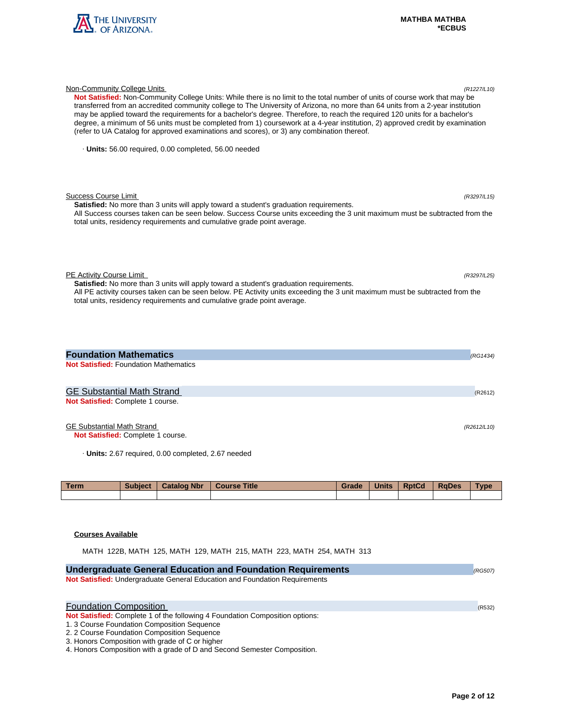

| Not Satisfied: Non-Community College Units: While there is no limit to the total number of units of course work that may be<br>transferred from an accredited community college to The University of Arizona, no more than 64 units from a 2-year institution<br>may be applied toward the requirements for a bachelor's degree. Therefore, to reach the required 120 units for a bachelor's<br>degree, a minimum of 56 units must be completed from 1) coursework at a 4-year institution, 2) approved credit by examination<br>(refer to UA Catalog for approved examinations and scores), or 3) any combination thereof. |             |
|-----------------------------------------------------------------------------------------------------------------------------------------------------------------------------------------------------------------------------------------------------------------------------------------------------------------------------------------------------------------------------------------------------------------------------------------------------------------------------------------------------------------------------------------------------------------------------------------------------------------------------|-------------|
| · Units: 56.00 required, 0.00 completed, 56.00 needed                                                                                                                                                                                                                                                                                                                                                                                                                                                                                                                                                                       |             |
| <b>Success Course Limit</b><br>Satisfied: No more than 3 units will apply toward a student's graduation requirements.<br>All Success courses taken can be seen below. Success Course units exceeding the 3 unit maximum must be subtracted from the<br>total units, residency requirements and cumulative grade point average.                                                                                                                                                                                                                                                                                              | (R3297/L15) |
| PE Activity Course Limit<br>Satisfied: No more than 3 units will apply toward a student's graduation requirements.<br>All PE activity courses taken can be seen below. PE Activity units exceeding the 3 unit maximum must be subtracted from the<br>total units, residency requirements and cumulative grade point average.                                                                                                                                                                                                                                                                                                | (R3297/L25) |
| <b>Foundation Mathematics</b><br><b>Not Satisfied: Foundation Mathematics</b>                                                                                                                                                                                                                                                                                                                                                                                                                                                                                                                                               | (RG1434)    |
| <b>GE Substantial Math Strand</b><br>Not Satisfied: Complete 1 course.                                                                                                                                                                                                                                                                                                                                                                                                                                                                                                                                                      | (R2612)     |

Non-Community College Units (R1227/L10)

GE Substantial Math Strand (R2612/L10)

**Not Satisfied:** Complete 1 course.

· **Units:** 2.67 required, 0.00 completed, 2.67 needed

| <b>Term</b> | <b>Subject</b> | <b>Catalog Nbr</b> | <b>Course Title</b> | Grade | <b>Units</b> | <b>RptCd</b> | <b>RaDes</b> | Type |
|-------------|----------------|--------------------|---------------------|-------|--------------|--------------|--------------|------|
|             |                |                    |                     |       |              |              |              |      |

# **Courses Available**

MATH 122B, MATH 125, MATH 129, MATH 215, MATH 223, MATH 254, MATH 313

| <b>Undergraduate General Education and Foundation Requirements</b><br>(RG507) |        |  |  |  |  |
|-------------------------------------------------------------------------------|--------|--|--|--|--|
| Not Satisfied: Undergraduate General Education and Foundation Requirements    |        |  |  |  |  |
|                                                                               |        |  |  |  |  |
| <b>Foundation Composition</b>                                                 |        |  |  |  |  |
|                                                                               | (R532) |  |  |  |  |
| Not Satisfied: Complete 1 of the following 4 Foundation Composition options:  |        |  |  |  |  |
| 1. 3 Course Foundation Composition Sequence                                   |        |  |  |  |  |
| 2. 2 Course Foundation Composition Sequence                                   |        |  |  |  |  |
| 3. Honors Composition with grade of C or higher                               |        |  |  |  |  |
| 4. Honors Composition with a grade of D and Second Semester Composition.      |        |  |  |  |  |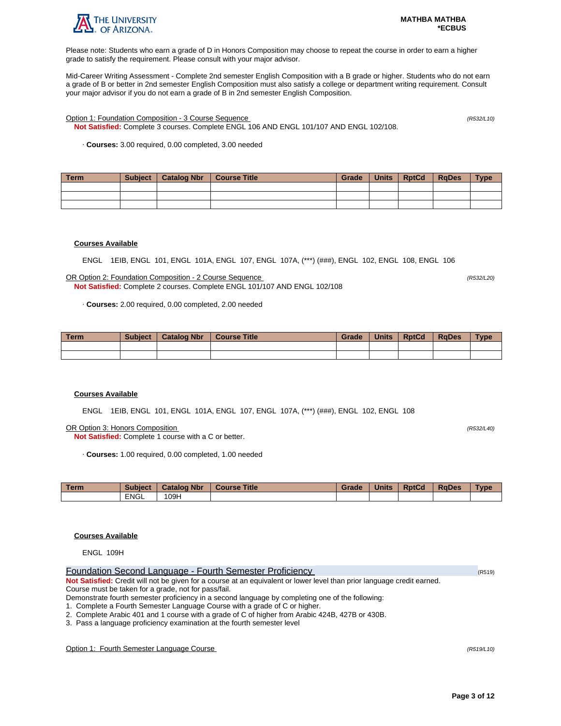

Please note: Students who earn a grade of D in Honors Composition may choose to repeat the course in order to earn a higher grade to satisfy the requirement. Please consult with your major advisor.

Mid-Career Writing Assessment - Complete 2nd semester English Composition with a B grade or higher. Students who do not earn a grade of B or better in 2nd semester English Composition must also satisfy a college or department writing requirement. Consult your major advisor if you do not earn a grade of B in 2nd semester English Composition.

Option 1: Foundation Composition - 3 Course Sequence (R532/L10)

**Not Satisfied:** Complete 3 courses. Complete ENGL 106 AND ENGL 101/107 AND ENGL 102/108.

· **Courses:** 3.00 required, 0.00 completed, 3.00 needed

| Term | Subject | Catalog Nbr   Course Title | Grade | <b>Units</b> | RptCd | RaDes | <b>Type</b> |
|------|---------|----------------------------|-------|--------------|-------|-------|-------------|
|      |         |                            |       |              |       |       |             |
|      |         |                            |       |              |       |       |             |
|      |         |                            |       |              |       |       |             |

### **Courses Available**

ENGL 1EIB, ENGL 101, ENGL 101A, ENGL 107, ENGL 107A, (\*\*\*) (###), ENGL 102, ENGL 108, ENGL 106

OR Option 2: Foundation Composition - 2 Course Sequence (R532/L20) **Not Satisfied:** Complete 2 courses. Complete ENGL 101/107 AND ENGL 102/108

· **Courses:** 2.00 required, 0.00 completed, 2.00 needed

| <b>Term</b> | <b>Subject</b> | <b>Catalog Nbr</b> | <b>Course Title</b> | Grade | <b>Units</b> | <b>RptCd</b> | <b>RaDes</b> | <b>Type</b> |
|-------------|----------------|--------------------|---------------------|-------|--------------|--------------|--------------|-------------|
|             |                |                    |                     |       |              |              |              |             |
|             |                |                    |                     |       |              |              |              |             |

### **Courses Available**

ENGL 1EIB, ENGL 101, ENGL 101A, ENGL 107, ENGL 107A, (\*\*\*) (###), ENGL 102, ENGL 108

OR Option 3: Honors Composition (R532/L40)

**Not Satisfied:** Complete 1 course with a C or better.

· **Courses:** 1.00 required, 0.00 completed, 1.00 needed

| <b>Term</b> | <b>Subject</b> | <b>Catalog Nbr</b> | <b>Course Title</b> | Grade | <b>Units</b> | <b>RptCd</b> | <b>RaDes</b> | Type |
|-------------|----------------|--------------------|---------------------|-------|--------------|--------------|--------------|------|
|             | <b>ENGL</b>    | 09H                |                     |       |              |              |              |      |

# **Courses Available**

ENGL 109H

| Foundation Second Language - Fourth Semester Proficiency                                                                | (R519) |
|-------------------------------------------------------------------------------------------------------------------------|--------|
| Not Satisfied: Credit will not be given for a course at an equivalent or lower level than prior language credit earned. |        |
| Course must be taken for a grade, not for pass/fail.                                                                    |        |
| Demonstrate fourth semester proficiency in a second language by completing one of the following:                        |        |

1. Complete a Fourth Semester Language Course with a grade of C or higher.

2. Complete Arabic 401 and 1 course with a grade of C of higher from Arabic 424B, 427B or 430B.

3. Pass a language proficiency examination at the fourth semester level

Option 1: Fourth Semester Language Course (R519/L10)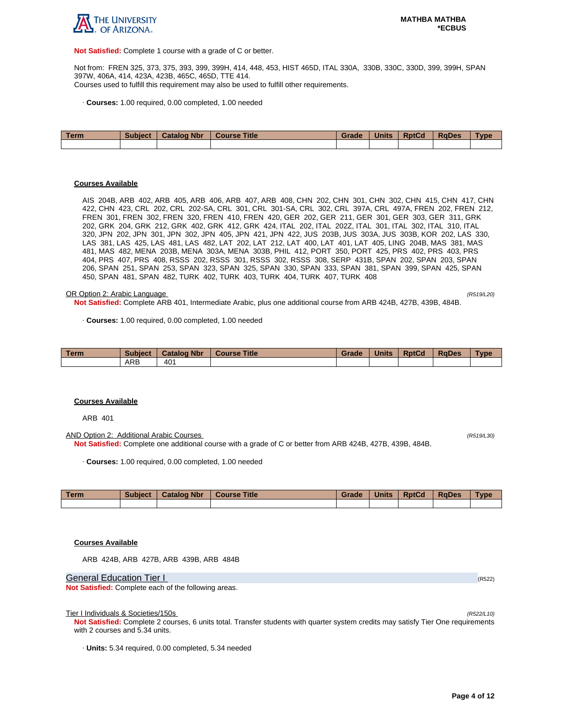

**Not Satisfied:** Complete 1 course with a grade of C or better.

Not from: FREN 325, 373, 375, 393, 399, 399H, 414, 448, 453, HIST 465D, ITAL 330A, 330B, 330C, 330D, 399, 399H, SPAN 397W, 406A, 414, 423A, 423B, 465C, 465D, TTE 414. Courses used to fulfill this requirement may also be used to fulfill other requirements.

· **Courses:** 1.00 required, 0.00 completed, 1.00 needed

| Term | <b>Subject</b> | <b>Catalog Nbr</b> | Course Title | Grade | <b>Units</b> | <b>RptCd</b> | <b>RaDes</b> | <b>Type</b> |
|------|----------------|--------------------|--------------|-------|--------------|--------------|--------------|-------------|
|      |                |                    |              |       |              |              |              |             |

#### **Courses Available**

AIS 204B, ARB 402, ARB 405, ARB 406, ARB 407, ARB 408, CHN 202, CHN 301, CHN 302, CHN 415, CHN 417, CHN 422, CHN 423, CRL 202, CRL 202-SA, CRL 301, CRL 301-SA, CRL 302, CRL 397A, CRL 497A, FREN 202, FREN 212, FREN 301, FREN 302, FREN 320, FREN 410, FREN 420, GER 202, GER 211, GER 301, GER 303, GER 311, GRK 202, GRK 204, GRK 212, GRK 402, GRK 412, GRK 424, ITAL 202, ITAL 202Z, ITAL 301, ITAL 302, ITAL 310, ITAL 320, JPN 202, JPN 301, JPN 302, JPN 405, JPN 421, JPN 422, JUS 203B, JUS 303A, JUS 303B, KOR 202, LAS 330, LAS 381, LAS 425, LAS 481, LAS 482, LAT 202, LAT 212, LAT 400, LAT 401, LAT 405, LING 204B, MAS 381, MAS 481, MAS 482, MENA 203B, MENA 303A, MENA 303B, PHIL 412, PORT 350, PORT 425, PRS 402, PRS 403, PRS 404, PRS 407, PRS 408, RSSS 202, RSSS 301, RSSS 302, RSSS 308, SERP 431B, SPAN 202, SPAN 203, SPAN 206, SPAN 251, SPAN 253, SPAN 323, SPAN 325, SPAN 330, SPAN 333, SPAN 381, SPAN 399, SPAN 425, SPAN 450, SPAN 481, SPAN 482, TURK 402, TURK 403, TURK 404, TURK 407, TURK 408

#### OR Option 2: Arabic Language (R519/L20)

**Not Satisfied:** Complete ARB 401, Intermediate Arabic, plus one additional course from ARB 424B, 427B, 439B, 484B.

· **Courses:** 1.00 required, 0.00 completed, 1.00 needed

| Term | <b>Subject</b> | <b>Catalog Nbr</b> | <b>Course Title</b> | Grade | <b>Units</b> | <b>RptCd</b> | <b>RaDes</b> | <b>Type</b> |
|------|----------------|--------------------|---------------------|-------|--------------|--------------|--------------|-------------|
|      | ARB            | 40 <sup>1</sup>    |                     |       |              |              |              |             |

#### **Courses Available**

ARB 401

AND Option 2: Additional Arabic Courses (R519/L30) **Not Satisfied:** Complete one additional course with a grade of C or better from ARB 424B, 427B, 439B, 484B.

· **Courses:** 1.00 required, 0.00 completed, 1.00 needed

| Term | <b>Subject</b> | <b>Catalog Nbr</b> | Course Title | Grade | <b>Units</b> | <b>RptCd</b> | <b>RaDes</b> | <b>Type</b> |
|------|----------------|--------------------|--------------|-------|--------------|--------------|--------------|-------------|
|      |                |                    |              |       |              |              |              |             |

## **Courses Available**

ARB 424B, ARB 427B, ARB 439B, ARB 484B

General Education Tier I (R522) (R522)

**Not Satisfied:** Complete each of the following areas.

Tier I Individuals & Societies/150s

**Not Satisfied:** Complete 2 courses, 6 units total. Transfer students with quarter system credits may satisfy Tier One requirements with 2 courses and 5.34 units.

· **Units:** 5.34 required, 0.00 completed, 5.34 needed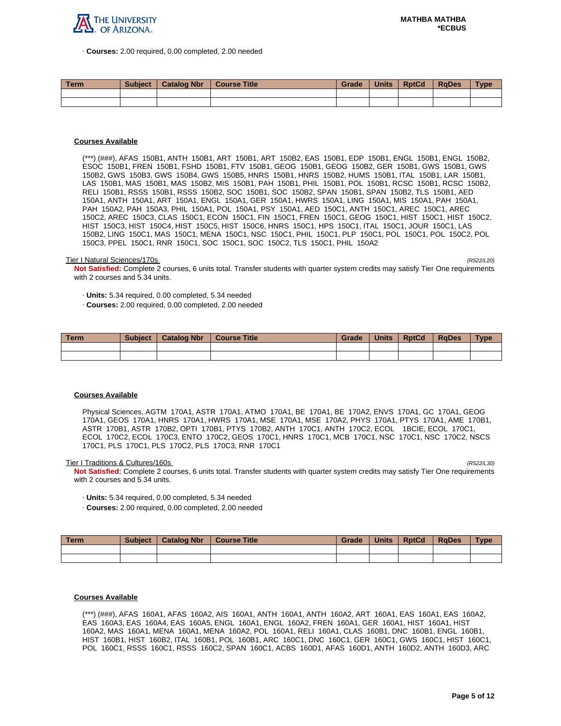

· **Courses:** 2.00 required, 0.00 completed, 2.00 needed

| <b>Term</b> | <b>Subject</b> | <b>Catalog Nbr</b> | <b>Course Title</b> | Grade | <b>Units</b> | <b>RptCd</b> | <b>RaDes</b> | <b>Type</b> |
|-------------|----------------|--------------------|---------------------|-------|--------------|--------------|--------------|-------------|
|             |                |                    |                     |       |              |              |              |             |
|             |                |                    |                     |       |              |              |              |             |

## **Courses Available**

(\*\*\*) (###), AFAS 150B1, ANTH 150B1, ART 150B1, ART 150B2, EAS 150B1, EDP 150B1, ENGL 150B1, ENGL 150B2, ESOC 150B1, FREN 150B1, FSHD 150B1, FTV 150B1, GEOG 150B1, GEOG 150B2, GER 150B1, GWS 150B1, GWS 150B2, GWS 150B3, GWS 150B4, GWS 150B5, HNRS 150B1, HNRS 150B2, HUMS 150B1, ITAL 150B1, LAR 150B1, LAS 150B1, MAS 150B1, MAS 150B2, MIS 150B1, PAH 150B1, PHIL 150B1, POL 150B1, RCSC 150B1, RCSC 150B2, RELI 150B1, RSSS 150B1, RSSS 150B2, SOC 150B1, SOC 150B2, SPAN 150B1, SPAN 150B2, TLS 150B1, AED 150A1, ANTH 150A1, ART 150A1, ENGL 150A1, GER 150A1, HWRS 150A1, LING 150A1, MIS 150A1, PAH 150A1, PAH 150A2, PAH 150A3, PHIL 150A1, POL 150A1, PSY 150A1, AED 150C1, ANTH 150C1, AREC 150C1, AREC 150C2, AREC 150C3, CLAS 150C1, ECON 150C1, FIN 150C1, FREN 150C1, GEOG 150C1, HIST 150C1, HIST 150C2, HIST 150C3, HIST 150C4, HIST 150C5, HIST 150C6, HNRS 150C1, HPS 150C1, ITAL 150C1, JOUR 150C1, LAS 150B2, LING 150C1, MAS 150C1, MENA 150C1, NSC 150C1, PHIL 150C1, PLP 150C1, POL 150C1, POL 150C2, POL 150C3, PPEL 150C1, RNR 150C1, SOC 150C1, SOC 150C2, TLS 150C1, PHIL 150A2

#### Tier I Natural Sciences/170s (R522/L20)

**Not Satisfied:** Complete 2 courses, 6 units total. Transfer students with quarter system credits may satisfy Tier One requirements with 2 courses and 5.34 units.

· **Units:** 5.34 required, 0.00 completed, 5.34 needed

· **Courses:** 2.00 required, 0.00 completed, 2.00 needed

| ∣ Term | <b>Subject</b> | <b>Catalog Nbr</b> | <b>Course Title</b> | Grade | <b>Units</b> | <b>RptCd</b> | <b>RaDes</b> | <b>Type</b> |
|--------|----------------|--------------------|---------------------|-------|--------------|--------------|--------------|-------------|
|        |                |                    |                     |       |              |              |              |             |
|        |                |                    |                     |       |              |              |              |             |

### **Courses Available**

Physical Sciences, AGTM 170A1, ASTR 170A1, ATMO 170A1, BE 170A1, BE 170A2, ENVS 170A1, GC 170A1, GEOG 170A1, GEOS 170A1, HNRS 170A1, HWRS 170A1, MSE 170A1, MSE 170A2, PHYS 170A1, PTYS 170A1, AME 170B1, ASTR 170B1, ASTR 170B2, OPTI 170B1, PTYS 170B2, ANTH 170C1, ANTH 170C2, ECOL 1BCIE, ECOL 170C1, ECOL 170C2, ECOL 170C3, ENTO 170C2, GEOS 170C1, HNRS 170C1, MCB 170C1, NSC 170C1, NSC 170C2, NSCS 170C1, PLS 170C1, PLS 170C2, PLS 170C3, RNR 170C1

Tier I Traditions & Cultures/160s

**Not Satisfied:** Complete 2 courses, 6 units total. Transfer students with quarter system credits may satisfy Tier One requirements with 2 courses and 5.34 units.

- · **Units:** 5.34 required, 0.00 completed, 5.34 needed
- · **Courses:** 2.00 required, 0.00 completed, 2.00 needed

| Term. | <b>Subject</b> | <b>Catalog Nbr</b> | Course Title | Grade | <b>Units</b> | <b>RptCd</b> | RaDes | <b>Type</b> |
|-------|----------------|--------------------|--------------|-------|--------------|--------------|-------|-------------|
|       |                |                    |              |       |              |              |       |             |
|       |                |                    |              |       |              |              |       |             |

### **Courses Available**

(\*\*\*) (###), AFAS 160A1, AFAS 160A2, AIS 160A1, ANTH 160A1, ANTH 160A2, ART 160A1, EAS 160A1, EAS 160A2, EAS 160A3, EAS 160A4, EAS 160A5, ENGL 160A1, ENGL 160A2, FREN 160A1, GER 160A1, HIST 160A1, HIST 160A2, MAS 160A1, MENA 160A1, MENA 160A2, POL 160A1, RELI 160A1, CLAS 160B1, DNC 160B1, ENGL 160B1, HIST 160B1, HIST 160B2, ITAL 160B1, POL 160B1, ARC 160C1, DNC 160C1, GER 160C1, GWS 160C1, HIST 160C1, POL 160C1, RSSS 160C1, RSSS 160C2, SPAN 160C1, ACBS 160D1, AFAS 160D1, ANTH 160D2, ANTH 160D3, ARC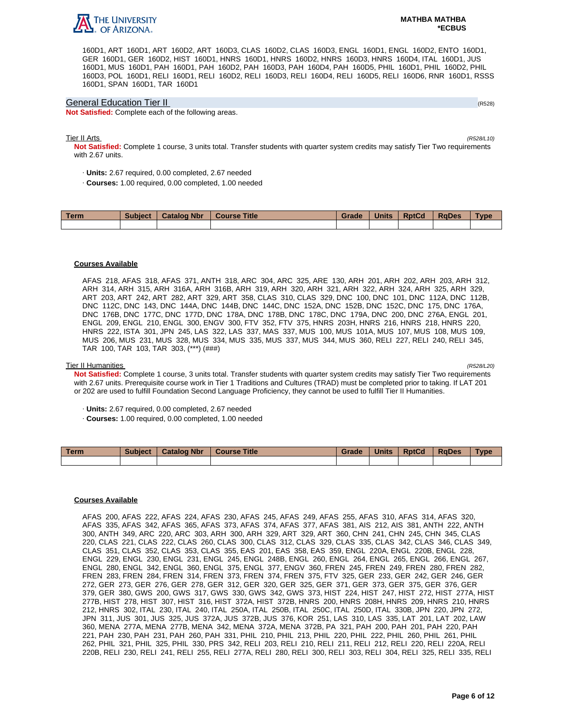

160D1, ART 160D1, ART 160D2, ART 160D3, CLAS 160D2, CLAS 160D3, ENGL 160D1, ENGL 160D2, ENTO 160D1, GER 160D1, GER 160D2, HIST 160D1, HNRS 160D1, HNRS 160D2, HNRS 160D3, HNRS 160D4, ITAL 160D1, JUS 160D1, MUS 160D1, PAH 160D1, PAH 160D2, PAH 160D3, PAH 160D4, PAH 160D5, PHIL 160D1, PHIL 160D2, PHIL 160D3, POL 160D1, RELI 160D1, RELI 160D2, RELI 160D3, RELI 160D4, RELI 160D5, RELI 160D6, RNR 160D1, RSSS 160D1, SPAN 160D1, TAR 160D1

### General Education Tier II (R528)

**Not Satisfied:** Complete each of the following areas.

### Tier II Arts (R528/L10)

**Not Satisfied:** Complete 1 course, 3 units total. Transfer students with quarter system credits may satisfy Tier Two requirements with 2.67 units.

- · **Units:** 2.67 required, 0.00 completed, 2.67 needed
- · **Courses:** 1.00 required, 0.00 completed, 1.00 needed

| Term | <b>Subject</b> | <b>Catalog Nbr</b> | <b>Course Title</b> | <b>Grade</b> | <b>Units</b> | <b>RptCd</b> | <b>RaDes</b> | Type |
|------|----------------|--------------------|---------------------|--------------|--------------|--------------|--------------|------|
|      |                |                    |                     |              |              |              |              |      |

### **Courses Available**

AFAS 218, AFAS 318, AFAS 371, ANTH 318, ARC 304, ARC 325, ARE 130, ARH 201, ARH 202, ARH 203, ARH 312, ARH 314, ARH 315, ARH 316A, ARH 316B, ARH 319, ARH 320, ARH 321, ARH 322, ARH 324, ARH 325, ARH 329, ART 203, ART 242, ART 282, ART 329, ART 358, CLAS 310, CLAS 329, DNC 100, DNC 101, DNC 112A, DNC 112B, DNC 112C, DNC 143, DNC 144A, DNC 144B, DNC 144C, DNC 152A, DNC 152B, DNC 152C, DNC 175, DNC 176A, DNC 176B, DNC 177C, DNC 177D, DNC 178A, DNC 178B, DNC 178C, DNC 179A, DNC 200, DNC 276A, ENGL 201, ENGL 209, ENGL 210, ENGL 300, ENGV 300, FTV 352, FTV 375, HNRS 203H, HNRS 216, HNRS 218, HNRS 220, HNRS 222, ISTA 301, JPN 245, LAS 322, LAS 337, MAS 337, MUS 100, MUS 101A, MUS 107, MUS 108, MUS 109, MUS 206, MUS 231, MUS 328, MUS 334, MUS 335, MUS 337, MUS 344, MUS 360, RELI 227, RELI 240, RELI 345, TAR 100, TAR 103, TAR 303, (\*\*\*) (###)

### Tier II Humanities (R528/L20)

**Not Satisfied:** Complete 1 course, 3 units total. Transfer students with quarter system credits may satisfy Tier Two requirements with 2.67 units. Prerequisite course work in Tier 1 Traditions and Cultures (TRAD) must be completed prior to taking. If LAT 201 or 202 are used to fulfill Foundation Second Language Proficiency, they cannot be used to fulfill Tier II Humanities.

- · **Units:** 2.67 required, 0.00 completed, 2.67 needed
- · **Courses:** 1.00 required, 0.00 completed, 1.00 needed

| Term | <b>Subject</b> | <b>Catalog Nbr</b> | Course Title | Grade | <b>Units</b> | <b>RptCd</b> | <b>RaDes</b> | Type |
|------|----------------|--------------------|--------------|-------|--------------|--------------|--------------|------|
|      |                |                    |              |       |              |              |              |      |

### **Courses Available**

AFAS 200, AFAS 222, AFAS 224, AFAS 230, AFAS 245, AFAS 249, AFAS 255, AFAS 310, AFAS 314, AFAS 320, AFAS 335, AFAS 342, AFAS 365, AFAS 373, AFAS 374, AFAS 377, AFAS 381, AIS 212, AIS 381, ANTH 222, ANTH 300, ANTH 349, ARC 220, ARC 303, ARH 300, ARH 329, ART 329, ART 360, CHN 241, CHN 245, CHN 345, CLAS 220, CLAS 221, CLAS 222, CLAS 260, CLAS 300, CLAS 312, CLAS 329, CLAS 335, CLAS 342, CLAS 346, CLAS 349, CLAS 351, CLAS 352, CLAS 353, CLAS 355, EAS 201, EAS 358, EAS 359, ENGL 220A, ENGL 220B, ENGL 228, ENGL 229, ENGL 230, ENGL 231, ENGL 245, ENGL 248B, ENGL 260, ENGL 264, ENGL 265, ENGL 266, ENGL 267, ENGL 280, ENGL 342, ENGL 360, ENGL 375, ENGL 377, ENGV 360, FREN 245, FREN 249, FREN 280, FREN 282, FREN 283, FREN 284, FREN 314, FREN 373, FREN 374, FREN 375, FTV 325, GER 233, GER 242, GER 246, GER 272, GER 273, GER 276, GER 278, GER 312, GER 320, GER 325, GER 371, GER 373, GER 375, GER 376, GER 379, GER 380, GWS 200, GWS 317, GWS 330, GWS 342, GWS 373, HIST 224, HIST 247, HIST 272, HIST 277A, HIST 277B, HIST 278, HIST 307, HIST 316, HIST 372A, HIST 372B, HNRS 200, HNRS 208H, HNRS 209, HNRS 210, HNRS 212, HNRS 302, ITAL 230, ITAL 240, ITAL 250A, ITAL 250B, ITAL 250C, ITAL 250D, ITAL 330B, JPN 220, JPN 272, JPN 311, JUS 301, JUS 325, JUS 372A, JUS 372B, JUS 376, KOR 251, LAS 310, LAS 335, LAT 201, LAT 202, LAW 360, MENA 277A, MENA 277B, MENA 342, MENA 372A, MENA 372B, PA 321, PAH 200, PAH 201, PAH 220, PAH 221, PAH 230, PAH 231, PAH 260, PAH 331, PHIL 210, PHIL 213, PHIL 220, PHIL 222, PHIL 260, PHIL 261, PHIL 262, PHIL 321, PHIL 325, PHIL 330, PRS 342, RELI 203, RELI 210, RELI 211, RELI 212, RELI 220, RELI 220A, RELI 220B, RELI 230, RELI 241, RELI 255, RELI 277A, RELI 280, RELI 300, RELI 303, RELI 304, RELI 325, RELI 335, RELI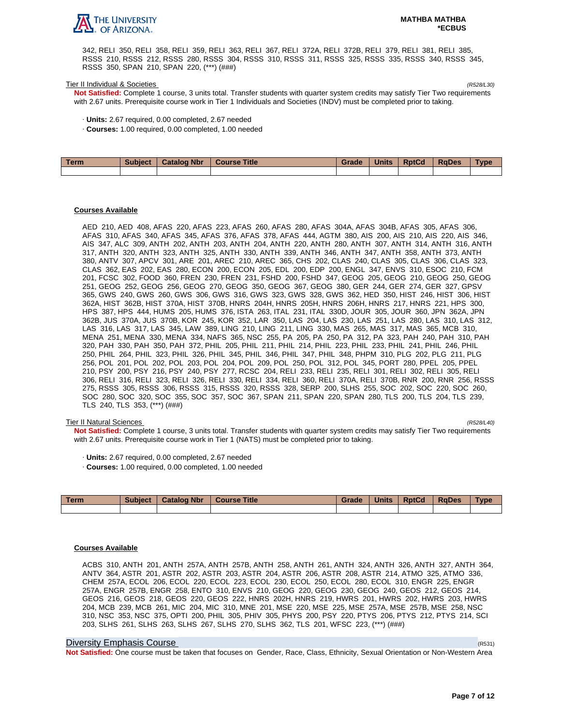

342, RELI 350, RELI 358, RELI 359, RELI 363, RELI 367, RELI 372A, RELI 372B, RELI 379, RELI 381, RELI 385, RSSS 210, RSSS 212, RSSS 280, RSSS 304, RSSS 310, RSSS 311, RSSS 325, RSSS 335, RSSS 340, RSSS 345, RSSS 350, SPAN 210, SPAN 220, (\*\*\*) (###)

#### Tier II Individual & Societies (R528/L30)

**Not Satisfied:** Complete 1 course, 3 units total. Transfer students with quarter system credits may satisfy Tier Two requirements with 2.67 units. Prerequisite course work in Tier 1 Individuals and Societies (INDV) must be completed prior to taking.

- · **Units:** 2.67 required, 0.00 completed, 2.67 needed
- · **Courses:** 1.00 required, 0.00 completed, 1.00 needed

| Term | Subject   Catalog Nbr | Course Title | Grade | <b>Units</b> | <b>RptCd</b> | <b>RaDes</b> | <b>Type</b> |
|------|-----------------------|--------------|-------|--------------|--------------|--------------|-------------|
|      |                       |              |       |              |              |              |             |

### **Courses Available**

AED 210, AED 408, AFAS 220, AFAS 223, AFAS 260, AFAS 280, AFAS 304A, AFAS 304B, AFAS 305, AFAS 306, AFAS 310, AFAS 340, AFAS 345, AFAS 376, AFAS 378, AFAS 444, AGTM 380, AIS 200, AIS 210, AIS 220, AIS 346, AIS 347, ALC 309, ANTH 202, ANTH 203, ANTH 204, ANTH 220, ANTH 280, ANTH 307, ANTH 314, ANTH 316, ANTH 317, ANTH 320, ANTH 323, ANTH 325, ANTH 330, ANTH 339, ANTH 346, ANTH 347, ANTH 358, ANTH 373, ANTH 380, ANTV 307, APCV 301, ARE 201, AREC 210, AREC 365, CHS 202, CLAS 240, CLAS 305, CLAS 306, CLAS 323, CLAS 362, EAS 202, EAS 280, ECON 200, ECON 205, EDL 200, EDP 200, ENGL 347, ENVS 310, ESOC 210, FCM 201, FCSC 302, FOOD 360, FREN 230, FREN 231, FSHD 200, FSHD 347, GEOG 205, GEOG 210, GEOG 250, GEOG 251, GEOG 252, GEOG 256, GEOG 270, GEOG 350, GEOG 367, GEOG 380, GER 244, GER 274, GER 327, GPSV 365, GWS 240, GWS 260, GWS 306, GWS 316, GWS 323, GWS 328, GWS 362, HED 350, HIST 246, HIST 306, HIST 362A, HIST 362B, HIST 370A, HIST 370B, HNRS 204H, HNRS 205H, HNRS 206H, HNRS 217, HNRS 221, HPS 300, HPS 387, HPS 444, HUMS 205, HUMS 376, ISTA 263, ITAL 231, ITAL 330D, JOUR 305, JOUR 360, JPN 362A, JPN 362B, JUS 370A, JUS 370B, KOR 245, KOR 352, LAR 350, LAS 204, LAS 230, LAS 251, LAS 280, LAS 310, LAS 312, LAS 316, LAS 317, LAS 345, LAW 389, LING 210, LING 211, LING 330, MAS 265, MAS 317, MAS 365, MCB 310, MENA 251, MENA 330, MENA 334, NAFS 365, NSC 255, PA 205, PA 250, PA 312, PA 323, PAH 240, PAH 310, PAH 320, PAH 330, PAH 350, PAH 372, PHIL 205, PHIL 211, PHIL 214, PHIL 223, PHIL 233, PHIL 241, PHIL 246, PHIL 250, PHIL 264, PHIL 323, PHIL 326, PHIL 345, PHIL 346, PHIL 347, PHIL 348, PHPM 310, PLG 202, PLG 211, PLG 256, POL 201, POL 202, POL 203, POL 204, POL 209, POL 250, POL 312, POL 345, PORT 280, PPEL 205, PPEL 210, PSY 200, PSY 216, PSY 240, PSY 277, RCSC 204, RELI 233, RELI 235, RELI 301, RELI 302, RELI 305, RELI 306, RELI 316, RELI 323, RELI 326, RELI 330, RELI 334, RELI 360, RELI 370A, RELI 370B, RNR 200, RNR 256, RSSS 275, RSSS 305, RSSS 306, RSSS 315, RSSS 320, RSSS 328, SERP 200, SLHS 255, SOC 202, SOC 220, SOC 260, SOC 280, SOC 320, SOC 355, SOC 357, SOC 367, SPAN 211, SPAN 220, SPAN 280, TLS 200, TLS 204, TLS 239, TLS 240, TLS 353, (\*\*\*) (###)

### Tier II Natural Sciences (R528/L40)

**Not Satisfied:** Complete 1 course, 3 units total. Transfer students with quarter system credits may satisfy Tier Two requirements with 2.67 units. Prerequisite course work in Tier 1 (NATS) must be completed prior to taking.

- · **Units:** 2.67 required, 0.00 completed, 2.67 needed
- · **Courses:** 1.00 required, 0.00 completed, 1.00 needed

| Term | <b>Subject</b> | <b>Catalog Nbr</b> | <b>Course Title</b> | Grade | Units | <b>RptCd</b> | <b>RaDes</b> | <b>Type</b> |
|------|----------------|--------------------|---------------------|-------|-------|--------------|--------------|-------------|
|      |                |                    |                     |       |       |              |              |             |

#### **Courses Available**

ACBS 310, ANTH 201, ANTH 257A, ANTH 257B, ANTH 258, ANTH 261, ANTH 324, ANTH 326, ANTH 327, ANTH 364, ANTV 364, ASTR 201, ASTR 202, ASTR 203, ASTR 204, ASTR 206, ASTR 208, ASTR 214, ATMO 325, ATMO 336, CHEM 257A, ECOL 206, ECOL 220, ECOL 223, ECOL 230, ECOL 250, ECOL 280, ECOL 310, ENGR 225, ENGR 257A, ENGR 257B, ENGR 258, ENTO 310, ENVS 210, GEOG 220, GEOG 230, GEOG 240, GEOS 212, GEOS 214, GEOS 216, GEOS 218, GEOS 220, GEOS 222, HNRS 202H, HNRS 219, HWRS 201, HWRS 202, HWRS 203, HWRS 204, MCB 239, MCB 261, MIC 204, MIC 310, MNE 201, MSE 220, MSE 225, MSE 257A, MSE 257B, MSE 258, NSC 310, NSC 353, NSC 375, OPTI 200, PHIL 305, PHIV 305, PHYS 200, PSY 220, PTYS 206, PTYS 212, PTYS 214, SCI 203, SLHS 261, SLHS 263, SLHS 267, SLHS 270, SLHS 362, TLS 201, WFSC 223, (\*\*\*) (###)

#### Diversity Emphasis Course (R531)

**Not Satisfied:** One course must be taken that focuses on Gender, Race, Class, Ethnicity, Sexual Orientation or Non-Western Area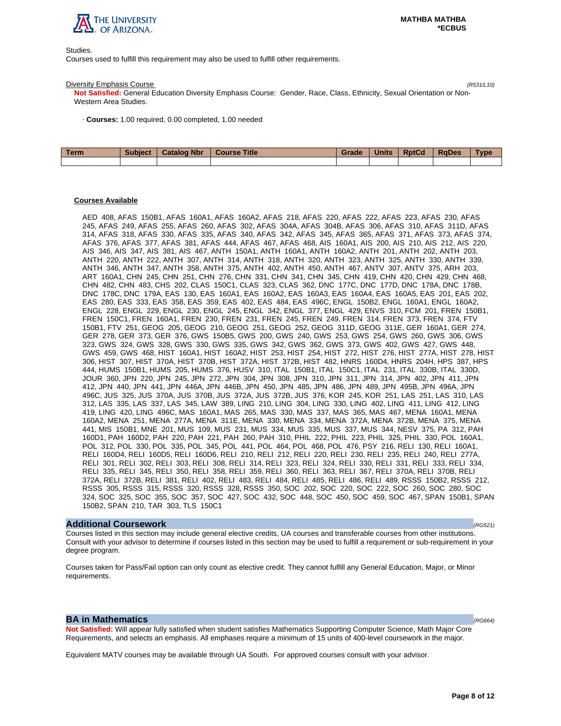

Studies.

Courses used to fulfill this requirement may also be used to fulfill other requirements.

#### Diversity Emphasis Course (R531/L10)

**Not Satisfied:** General Education Diversity Emphasis Course: Gender, Race, Class, Ethnicity, Sexual Orientation or Non-Western Area Studies.

· **Courses:** 1.00 required, 0.00 completed, 1.00 needed

| <b>Term</b> | <b>Subject</b> | <b>Catalog Nbr</b> | Course Title | Grade | <b>Units</b> | <b>RptCd</b> | RaDes | <b>Type</b> |
|-------------|----------------|--------------------|--------------|-------|--------------|--------------|-------|-------------|
|             |                |                    |              |       |              |              |       |             |

# **Courses Available**

AED 408, AFAS 150B1, AFAS 160A1, AFAS 160A2, AFAS 218, AFAS 220, AFAS 222, AFAS 223, AFAS 230, AFAS 245, AFAS 249, AFAS 255, AFAS 260, AFAS 302, AFAS 304A, AFAS 304B, AFAS 306, AFAS 310, AFAS 311D, AFAS 314, AFAS 318, AFAS 330, AFAS 335, AFAS 340, AFAS 342, AFAS 345, AFAS 365, AFAS 371, AFAS 373, AFAS 374, AFAS 376, AFAS 377, AFAS 381, AFAS 444, AFAS 467, AFAS 468, AIS 160A1, AIS 200, AIS 210, AIS 212, AIS 220, AIS 346, AIS 347, AIS 381, AIS 467, ANTH 150A1, ANTH 160A1, ANTH 160A2, ANTH 201, ANTH 202, ANTH 203, ANTH 220, ANTH 222, ANTH 307, ANTH 314, ANTH 318, ANTH 320, ANTH 323, ANTH 325, ANTH 330, ANTH 339, ANTH 346, ANTH 347, ANTH 358, ANTH 375, ANTH 402, ANTH 450, ANTH 467, ANTV 307, ANTV 375, ARH 203, ART 160A1, CHN 245, CHN 251, CHN 276, CHN 331, CHN 341, CHN 345, CHN 419, CHN 420, CHN 429, CHN 468, CHN 482, CHN 483, CHS 202, CLAS 150C1, CLAS 323, CLAS 362, DNC 177C, DNC 177D, DNC 178A, DNC 178B, DNC 178C, DNC 179A, EAS 130, EAS 160A1, EAS 160A2, EAS 160A3, EAS 160A4, EAS 160A5, EAS 201, EAS 202, EAS 280, EAS 333, EAS 358, EAS 359, EAS 402, EAS 484, EAS 496C, ENGL 150B2, ENGL 160A1, ENGL 160A2, ENGL 228, ENGL 229, ENGL 230, ENGL 245, ENGL 342, ENGL 377, ENGL 429, ENVS 310, FCM 201, FREN 150B1, FREN 150C1, FREN 160A1, FREN 230, FREN 231, FREN 245, FREN 249, FREN 314, FREN 373, FREN 374, FTV 150B1, FTV 251, GEOG 205, GEOG 210, GEOG 251, GEOG 252, GEOG 311D, GEOG 311E, GER 160A1, GER 274, GER 278, GER 373, GER 376, GWS 150B5, GWS 200, GWS 240, GWS 253, GWS 254, GWS 260, GWS 306, GWS 323, GWS 324, GWS 328, GWS 330, GWS 335, GWS 342, GWS 362, GWS 373, GWS 402, GWS 427, GWS 448, GWS 459, GWS 468, HIST 160A1, HIST 160A2, HIST 253, HIST 254, HIST 272, HIST 276, HIST 277A, HIST 278, HIST 306, HIST 307, HIST 370A, HIST 370B, HIST 372A, HIST 372B, HIST 482, HNRS 160D4, HNRS 204H, HPS 387, HPS 444, HUMS 150B1, HUMS 205, HUMS 376, HUSV 310, ITAL 150B1, ITAL 150C1, ITAL 231, ITAL 330B, ITAL 330D, JOUR 360, JPN 220, JPN 245, JPN 272, JPN 304, JPN 308, JPN 310, JPN 311, JPN 314, JPN 402, JPN 411, JPN 412, JPN 440, JPN 441, JPN 446A, JPN 446B, JPN 450, JPN 485, JPN 486, JPN 489, JPN 495B, JPN 496A, JPN 496C, JUS 325, JUS 370A, JUS 370B, JUS 372A, JUS 372B, JUS 376, KOR 245, KOR 251, LAS 251, LAS 310, LAS 312, LAS 335, LAS 337, LAS 345, LAW 389, LING 210, LING 304, LING 330, LING 402, LING 411, LING 412, LING 419, LING 420, LING 496C, MAS 160A1, MAS 265, MAS 330, MAS 337, MAS 365, MAS 467, MENA 160A1, MENA 160A2, MENA 251, MENA 277A, MENA 311E, MENA 330, MENA 334, MENA 372A, MENA 372B, MENA 375, MENA 441, MIS 150B1, MNE 201, MUS 109, MUS 231, MUS 334, MUS 335, MUS 337, MUS 344, NESV 375, PA 312, PAH 160D1, PAH 160D2, PAH 220, PAH 221, PAH 260, PAH 310, PHIL 222, PHIL 223, PHIL 325, PHIL 330, POL 160A1, POL 312, POL 330, POL 335, POL 345, POL 441, POL 464, POL 468, POL 476, PSY 216, RELI 130, RELI 160A1, RELI 160D4, RELI 160D5, RELI 160D6, RELI 210, RELI 212, RELI 220, RELI 230, RELI 235, RELI 240, RELI 277A, RELI 301, RELI 302, RELI 303, RELI 308, RELI 314, RELI 323, RELI 324, RELI 330, RELI 331, RELI 333, RELI 334, RELI 335, RELI 345, RELI 350, RELI 358, RELI 359, RELI 360, RELI 363, RELI 367, RELI 370A, RELI 370B, RELI 372A, RELI 372B, RELI 381, RELI 402, RELI 483, RELI 484, RELI 485, RELI 486, RELI 489, RSSS 150B2, RSSS 212, RSSS 305, RSSS 315, RSSS 320, RSSS 328, RSSS 350, SOC 202, SOC 220, SOC 222, SOC 260, SOC 280, SOC 324, SOC 325, SOC 355, SOC 357, SOC 427, SOC 432, SOC 448, SOC 450, SOC 459, SOC 467, SPAN 150B1, SPAN 150B2, SPAN 210, TAR 303, TLS 150C1

### **Additional Coursework** (RG521)

Courses listed in this section may include general elective credits, UA courses and transferable courses from other institutions. Consult with your advisor to determine if courses listed in this section may be used to fulfill a requirement or sub-requirement in your degree program.

Courses taken for Pass/Fail option can only count as elective credit. They cannot fulfill any General Education, Major, or Minor requirements.

## **BA in Mathematics**  $(RG664)$

**Not Satisfied:** Will appear fully satisfied when student satisfies Mathematics Supporting Computer Science, Math Major Core Requirements, and selects an emphasis. All emphases require a minimum of 15 units of 400-level coursework in the major.

Equivalent MATV courses may be available through UA South. For approved courses consult with your advisor.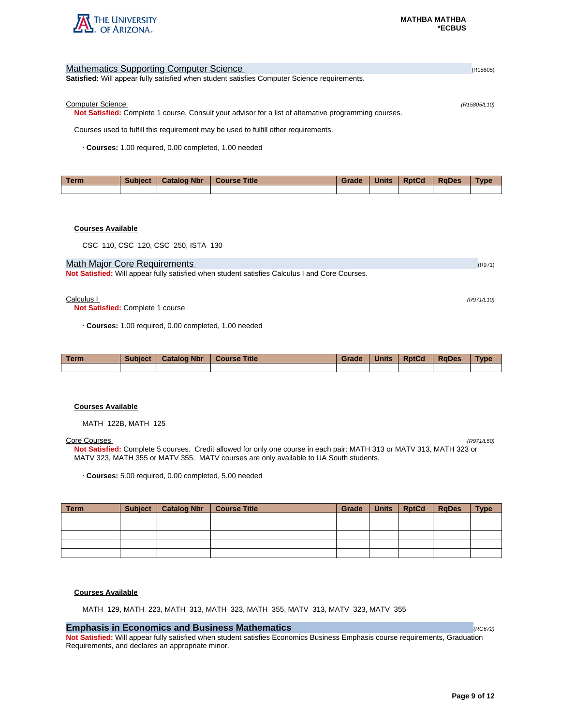

| <b>Mathematics Supporting Computer Science</b>                                                               | (R15805)     |
|--------------------------------------------------------------------------------------------------------------|--------------|
| <b>Satisfied:</b> Will appear fully satisfied when student satisfies Computer Science requirements.          |              |
|                                                                                                              |              |
| <b>Computer Science</b>                                                                                      | (R15805/L10) |
| <b>Not Satisfied:</b> Complete 1 course. Consult your advisor for a list of alternative programming courses. |              |
| Courses used to fulfill this requirement may be used to fulfill other requirements.                          |              |
| Courses: 1.00 required, 0.00 completed, 1.00 needed                                                          |              |
|                                                                                                              |              |

| Term | <b>Subject</b> | <b>Catalog Nbr</b> | <b>Course Title</b> | Grade | <b>Units</b> | <b>RptCd</b> | <b>RaDes</b> | Type |
|------|----------------|--------------------|---------------------|-------|--------------|--------------|--------------|------|
|      |                |                    |                     |       |              |              |              |      |

# **Courses Available**

CSC 110, CSC 120, CSC 250, ISTA 130

## Math Major Core Requirements (R971) 2008 12:00 12:00 12:00 12:00 12:00 12:00 12:00 12:00 12:00 12:00 12:00 12:00 12:00 12:00 12:00 12:00 12:00 12:00 12:00 12:00 12:00 12:00 12:00 12:00 12:00 12:00 12:00 12:00 12:00 12:00 1

**Not Satisfied:** Will appear fully satisfied when student satisfies Calculus I and Core Courses.

### $Calculus 1$  (R971/L10)

**Not Satisfied:** Complete 1 course

· **Courses:** 1.00 required, 0.00 completed, 1.00 needed

| <b>Term</b> | <b>Subject</b> | <b>Catalog Nbr</b> | <b>Course Title</b> | Grade | <b>Units</b> | <b>RptCd</b> | <b>RaDes</b> | <b>Type</b> |
|-------------|----------------|--------------------|---------------------|-------|--------------|--------------|--------------|-------------|
|             |                |                    |                     |       |              |              |              |             |

### **Courses Available**

MATH 122B, MATH 125

### Core Courses (R971/L50)

**Not Satisfied:** Complete 5 courses. Credit allowed for only one course in each pair: MATH 313 or MATV 313, MATH 323 or MATV 323, MATH 355 or MATV 355. MATV courses are only available to UA South students.

· **Courses:** 5.00 required, 0.00 completed, 5.00 needed

| Term | Subject   Catalog Nbr | <b>Course Title</b> | Grade | Units   RptCd | RaDes | <b>Type</b> |
|------|-----------------------|---------------------|-------|---------------|-------|-------------|
|      |                       |                     |       |               |       |             |
|      |                       |                     |       |               |       |             |
|      |                       |                     |       |               |       |             |
|      |                       |                     |       |               |       |             |
|      |                       |                     |       |               |       |             |

### **Courses Available**

MATH 129, MATH 223, MATH 313, MATH 323, MATH 355, MATV 313, MATV 323, MATV 355

# **Emphasis in Economics and Business Mathematics**  (*RG672)* **Construction (RG672)**

**Not Satisfied:** Will appear fully satisfied when student satisfies Economics Business Emphasis course requirements, Graduation Requirements, and declares an appropriate minor.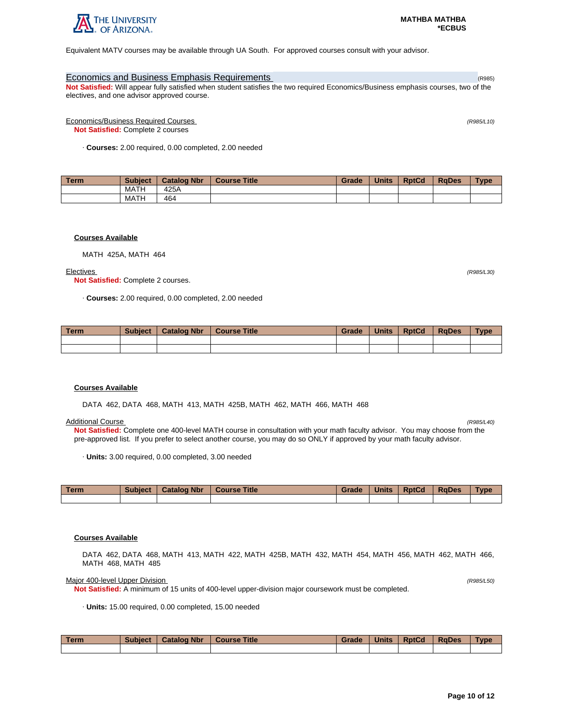

Equivalent MATV courses may be available through UA South. For approved courses consult with your advisor.

# Economics and Business Emphasis Requirements (R985) **Economics and Business Emphasis Requirements**

**Not Satisfied:** Will appear fully satisfied when student satisfies the two required Economics/Business emphasis courses, two of the electives, and one advisor approved course.

Economics/Business Required Courses (R985/L10)

**Not Satisfied:** Complete 2 courses

· **Courses:** 2.00 required, 0.00 completed, 2.00 needed

| l Term | <b>Subject</b> | <b>Catalog Nbr</b> | <b>Course Title</b> | Grade | <b>Units</b> | <b>RptCd</b> | <b>RaDes</b> | Type |
|--------|----------------|--------------------|---------------------|-------|--------------|--------------|--------------|------|
|        | MATH           | 425A               |                     |       |              |              |              |      |
|        | MATH           | 464                |                     |       |              |              |              |      |

# **Courses Available**

MATH 425A, MATH 464

#### Electives (R985/L30)

**Not Satisfied:** Complete 2 courses.

· **Courses:** 2.00 required, 0.00 completed, 2.00 needed

| Term | <b>Subject</b> | <b>Catalog Nbr</b> | <b>Course Title</b> | Grade | <b>Units</b> | <b>RptCd</b> | <b>RaDes</b> | <b>Type</b> |
|------|----------------|--------------------|---------------------|-------|--------------|--------------|--------------|-------------|
|      |                |                    |                     |       |              |              |              |             |
|      |                |                    |                     |       |              |              |              |             |

### **Courses Available**

DATA 462, DATA 468, MATH 413, MATH 425B, MATH 462, MATH 466, MATH 468

#### Additional Course (R985/L40)

**Not Satisfied:** Complete one 400-level MATH course in consultation with your math faculty advisor. You may choose from the pre-approved list. If you prefer to select another course, you may do so ONLY if approved by your math faculty advisor.

· **Units:** 3.00 required, 0.00 completed, 3.00 needed

| Term | <b>Subject</b> | <b>Catalog Nbr</b> | <b>Course Title</b> | Grade | <b>Units</b> | <b>RptCd</b> | <b>RaDes</b> | <b>Type</b> |
|------|----------------|--------------------|---------------------|-------|--------------|--------------|--------------|-------------|
|      |                |                    |                     |       |              |              |              |             |

### **Courses Available**

DATA 462, DATA 468, MATH 413, MATH 422, MATH 425B, MATH 432, MATH 454, MATH 456, MATH 462, MATH 466, MATH 468, MATH 485

#### Major 400-level Upper Division (R985/L50) (R985/L50)

**Not Satisfied:** A minimum of 15 units of 400-level upper-division major coursework must be completed.

· **Units:** 15.00 required, 0.00 completed, 15.00 needed

| Term | <b>Subject</b> | <b>Catalog Nbr</b> | <b>Course Title</b> | Grade | <b>Units</b> | <b>RptCd</b> | RaDes | <b>Type</b> |
|------|----------------|--------------------|---------------------|-------|--------------|--------------|-------|-------------|
|      |                |                    |                     |       |              |              |       |             |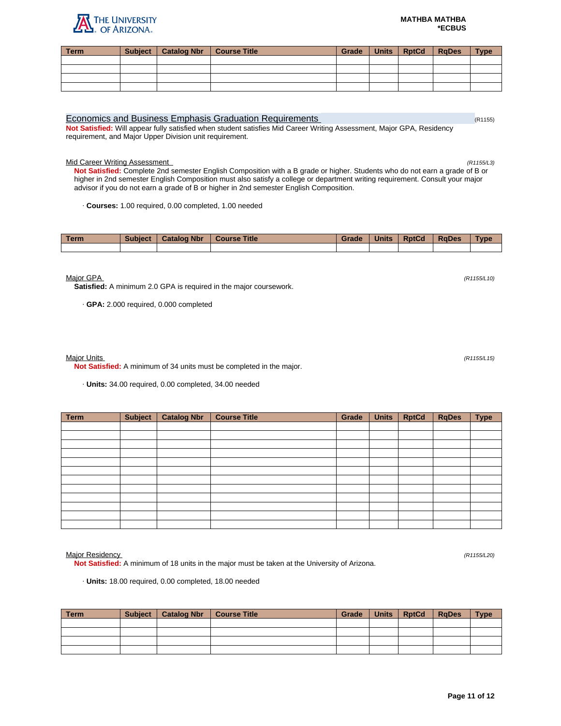### **MATHBA MATHBA \*ECBUS**

**Term Subject Catalog Nbr Course Title Grade Units RptCd RqDes Type**

## Economics and Business Emphasis Graduation Requirements (R1155) (R1155)

**Not Satisfied:** Will appear fully satisfied when student satisfies Mid Career Writing Assessment, Major GPA, Residency requirement, and Major Upper Division unit requirement.

## Mid Career Writing Assessment (R1155/L3)

**Not Satisfied:** Complete 2nd semester English Composition with a B grade or higher. Students who do not earn a grade of B or higher in 2nd semester English Composition must also satisfy a college or department writing requirement. Consult your major advisor if you do not earn a grade of B or higher in 2nd semester English Composition.

· **Courses:** 1.00 required, 0.00 completed, 1.00 needed

| <b>Term</b> | <b>Subject</b> | <b>Catalog Nbr</b> | <b>Course Title</b> | Grade | <b>Units</b> | <b>RptCd</b> | <b>RaDes</b> | <b>Type</b> |
|-------------|----------------|--------------------|---------------------|-------|--------------|--------------|--------------|-------------|
|             |                |                    |                     |       |              |              |              |             |

 $M$ ajor GPA (R1155/L10) (R1155/L10)

**Satisfied:** A minimum 2.0 GPA is required in the major coursework.

· **GPA:** 2.000 required, 0.000 completed

## Major Units (R1155/L15)

**Not Satisfied:** A minimum of 34 units must be completed in the major.

· **Units:** 34.00 required, 0.00 completed, 34.00 needed

| <b>Term</b> | Subject | <b>Catalog Nbr</b> | <b>Course Title</b> | Grade | <b>Units</b> | <b>RptCd</b> | <b>RqDes</b> | <b>Type</b> |
|-------------|---------|--------------------|---------------------|-------|--------------|--------------|--------------|-------------|
|             |         |                    |                     |       |              |              |              |             |
|             |         |                    |                     |       |              |              |              |             |
|             |         |                    |                     |       |              |              |              |             |
|             |         |                    |                     |       |              |              |              |             |
|             |         |                    |                     |       |              |              |              |             |
|             |         |                    |                     |       |              |              |              |             |
|             |         |                    |                     |       |              |              |              |             |
|             |         |                    |                     |       |              |              |              |             |
|             |         |                    |                     |       |              |              |              |             |
|             |         |                    |                     |       |              |              |              |             |
|             |         |                    |                     |       |              |              |              |             |
|             |         |                    |                     |       |              |              |              |             |

Major Residency (R1155/L20)

**Not Satisfied:** A minimum of 18 units in the major must be taken at the University of Arizona.

· **Units:** 18.00 required, 0.00 completed, 18.00 needed

| Term | Subject | Catalog Nbr   Course Title | Grade | Units RptCd | <b>RaDes</b> | <b>Type</b> |
|------|---------|----------------------------|-------|-------------|--------------|-------------|
|      |         |                            |       |             |              |             |
|      |         |                            |       |             |              |             |
|      |         |                            |       |             |              |             |
|      |         |                            |       |             |              |             |

THE UNIVERSITY **ARIZONA**